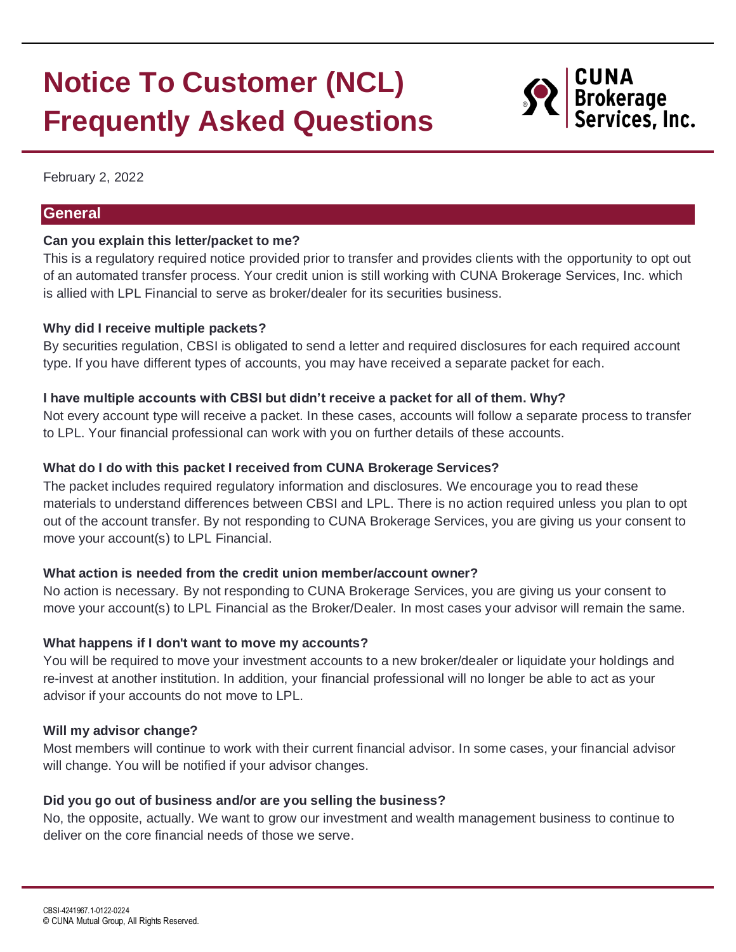# **Notice To Customer (NCL) Frequently Asked Questions**



February 2, 2022

#### **General**

#### **Can you explain this letter/packet to me?**

This is a regulatory required notice provided prior to transfer and provides clients with the opportunity to opt out of an automated transfer process. Your credit union is still working with CUNA Brokerage Services, Inc. which is allied with LPL Financial to serve as broker/dealer for its securities business.

#### **Why did I receive multiple packets?**

By securities regulation, CBSI is obligated to send a letter and required disclosures for each required account type. If you have different types of accounts, you may have received a separate packet for each.

#### **I have multiple accounts with CBSI but didn't receive a packet for all of them. Why?**

Not every account type will receive a packet. In these cases, accounts will follow a separate process to transfer to LPL. Your financial professional can work with you on further details of these accounts.

## **What do I do with this packet I received from CUNA Brokerage Services?**

The packet includes required regulatory information and disclosures. We encourage you to read these materials to understand differences between CBSI and LPL. There is no action required unless you plan to opt out of the account transfer. By not responding to CUNA Brokerage Services, you are giving us your consent to move your account(s) to LPL Financial.

# **What action is needed from the credit union member/account owner?**

No action is necessary. By not responding to CUNA Brokerage Services, you are giving us your consent to move your account(s) to LPL Financial as the Broker/Dealer. In most cases your advisor will remain the same.

#### **What happens if I don't want to move my accounts?**

You will be required to move your investment accounts to a new broker/dealer or liquidate your holdings and re-invest at another institution. In addition, your financial professional will no longer be able to act as your advisor if your accounts do not move to LPL.

#### **Will my advisor change?**

Most members will continue to work with their current financial advisor. In some cases, your financial advisor will change. You will be notified if your advisor changes.

# **Did you go out of business and/or are you selling the business?**

No, the opposite, actually. We want to grow our investment and wealth management business to continue to deliver on the core financial needs of those we serve.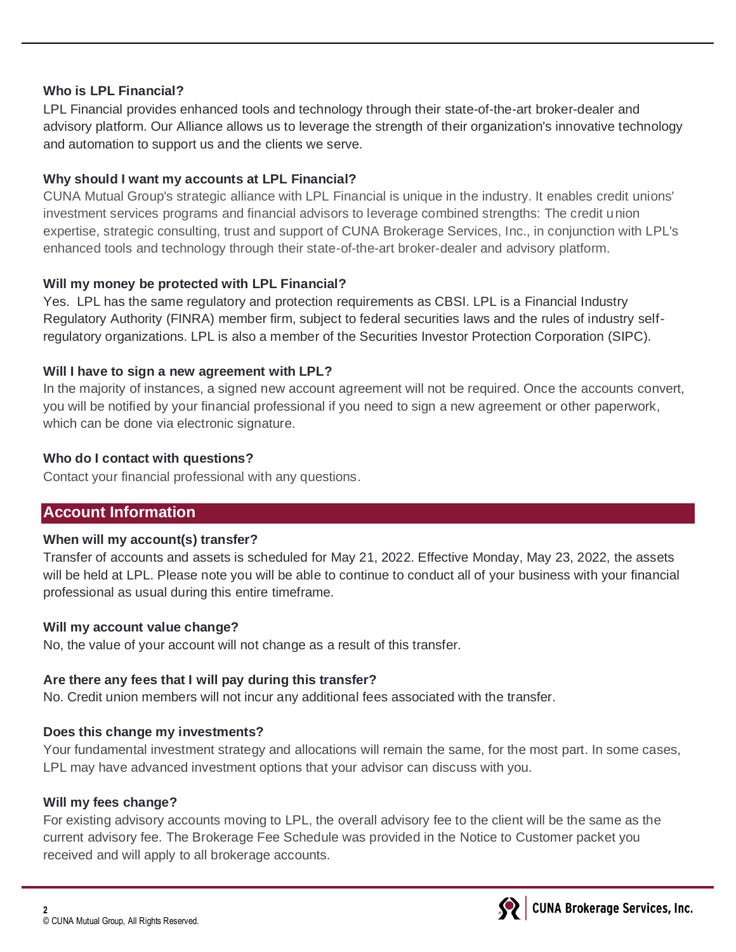## **Who is LPL Financial?**

LPL Financial provides enhanced tools and technology through their state-of-the-art broker-dealer and advisory platform. Our Alliance allows us to leverage the strength of their organization's innovative technology and automation to support us and the clients we serve.

## **Why should I want my accounts at LPL Financial?**

CUNA Mutual Group's strategic alliance with LPL Financial is unique in the industry. It enables credit unions' investment services programs and financial advisors to leverage combined strengths: The credit union expertise, strategic consulting, trust and support of CUNA Brokerage Services, Inc., in conjunction with LPL's enhanced tools and technology through their state-of-the-art broker-dealer and advisory platform.

## **Will my money be protected with LPL Financial?**

Yes. LPL has the same regulatory and protection requirements as CBSI. LPL is a Financial Industry Regulatory Authority (FINRA) member firm, subject to federal securities laws and the rules of industry selfregulatory organizations. LPL is also a member of the Securities Investor Protection Corporation (SIPC).

## **Will I have to sign a new agreement with LPL?**

In the majority of instances, a signed new account agreement will not be required. Once the accounts convert, you will be notified by your financial professional if you need to sign a new agreement or other paperwork, which can be done via electronic signature.

## **Who do I contact with questions?**

Contact your financial professional with any questions.

# **Account Information**

# **When will my account(s) transfer?**

Transfer of accounts and assets is scheduled for May 21, 2022. Effective Monday, May 23, 2022, the assets will be held at LPL. Please note you will be able to continue to conduct all of your business with your financial professional as usual during this entire timeframe.

# **Will my account value change?**

No, the value of your account will not change as a result of this transfer.

# **Are there any fees that I will pay during this transfer?**

No. Credit union members will not incur any additional fees associated with the transfer.

# **Does this change my investments?**

Your fundamental investment strategy and allocations will remain the same, for the most part. In some cases, LPL may have advanced investment options that your advisor can discuss with you.

# **Will my fees change?**

For existing advisory accounts moving to LPL, the overall advisory fee to the client will be the same as the current advisory fee. The Brokerage Fee Schedule was provided in the Notice to Customer packet you received and will apply to all brokerage accounts.

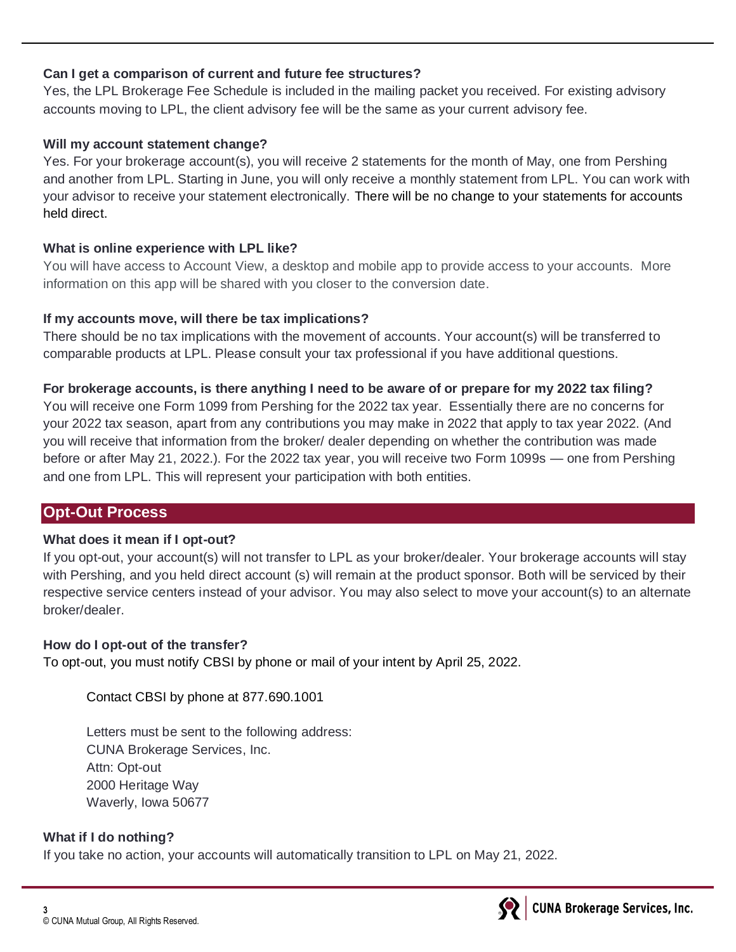# **Can I get a comparison of current and future fee structures?**

Yes, the LPL Brokerage Fee Schedule is included in the mailing packet you received. For existing advisory accounts moving to LPL, the client advisory fee will be the same as your current advisory fee.

## **Will my account statement change?**

Yes. For your brokerage account(s), you will receive 2 statements for the month of May, one from Pershing and another from LPL. Starting in June, you will only receive a monthly statement from LPL. You can work with your advisor to receive your statement electronically. There will be no change to your statements for accounts held direct.

## **What is online experience with LPL like?**

You will have access to Account View, a desktop and mobile app to provide access to your accounts. More information on this app will be shared with you closer to the conversion date.

## **If my accounts move, will there be tax implications?**

There should be no tax implications with the movement of accounts. Your account(s) will be transferred to comparable products at LPL. Please consult your tax professional if you have additional questions.

## **For brokerage accounts, is there anything I need to be aware of or prepare for my 2022 tax filing?**

You will receive one Form 1099 from Pershing for the 2022 tax year. Essentially there are no concerns for your 2022 tax season, apart from any contributions you may make in 2022 that apply to tax year 2022. (And you will receive that information from the broker/ dealer depending on whether the contribution was made before or after May 21, 2022.). For the 2022 tax year, you will receive two Form 1099s — one from Pershing and one from LPL. This will represent your participation with both entities.

# **Opt-Out Process**

# **What does it mean if I opt-out?**

If you opt-out, your account(s) will not transfer to LPL as your broker/dealer. Your brokerage accounts will stay with Pershing, and you held direct account (s) will remain at the product sponsor. Both will be serviced by their respective service centers instead of your advisor. You may also select to move your account(s) to an alternate broker/dealer.

# **How do I opt-out of the transfer?**

To opt-out, you must notify CBSI by phone or mail of your intent by April 25, 2022.

Contact CBSI by phone at 877.690.1001

Letters must be sent to the following address: CUNA Brokerage Services, Inc. Attn: Opt-out 2000 Heritage Way Waverly, Iowa 50677

# **What if I do nothing?**

If you take no action, your accounts will automatically transition to LPL on May 21, 2022.